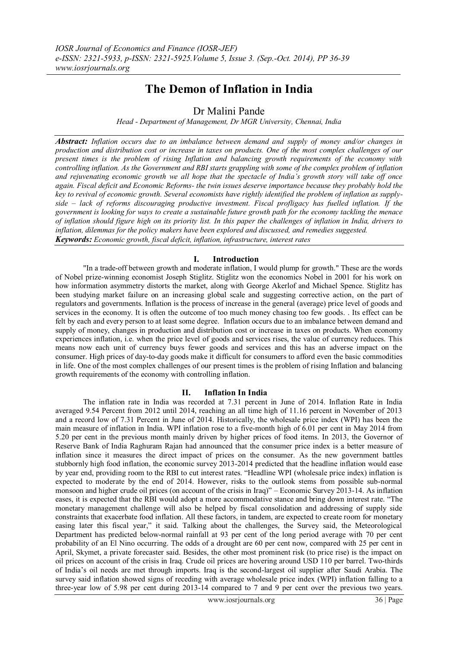# **The Demon of Inflation in India**

Dr Malini Pande

*Head - Department of Management, Dr MGR University, Chennai, India*

*Abstract: Inflation occurs due to an imbalance between demand and supply of money and/or changes in production and distribution cost or increase in taxes on products. One of the most complex challenges of our present times is the problem of rising Inflation and balancing growth requirements of the economy with controlling inflation. As the Government and RBI starts grappling with some of the complex problem of inflation and rejuvenating economic growth we all hope that the spectacle of India's growth story will take off once again. Fiscal deficit and Economic Reforms- the twin issues deserve importance because they probably hold the key to revival of economic growth. Several economists have rightly identified the problem of inflation as supplyside – lack of reforms discouraging productive investment. Fiscal profligacy has fuelled inflation. If the government is looking for ways to create a sustainable future growth path for the economy tackling the menace of inflation should figure high on its priority list. In this paper the challenges of inflation in India, drivers to inflation, dilemmas for the policy makers have been explored and discussed, and remedies suggested. Keywords: Economic growth, fiscal deficit, inflation, infrastructure, interest rates*

### **I. Introduction**

"In a trade-off between growth and moderate [inflation,](http://economictimes.indiatimes.com/topic/inflation) I would plump for growth." These are the words of Nobel prize-winning economist Joseph Stiglitz. Stiglitz won the economics Nobel in 2001 for his work on how information asymmetry distorts the market, along with George Akerlof and Michael Spence. Stiglitz has been studying market failure on an increasing global scale and suggesting corrective action, on the part of regulators and governments. Inflation is the process of increase in the general (average) price level of goods and services in the economy. It is often the outcome of too much money chasing too few goods. . Its effect can be felt by each and every person to at least some degree. Inflation occurs due to an imbalance between demand and supply of money, changes in production and distribution cost or increase in taxes on products. When economy experiences inflation, i.e. when the price level of goods and services rises, the value of currency reduces. This means now each unit of currency buys fewer goods and services and this has an adverse impact on the consumer. High prices of day-to-day goods make it difficult for consumers to afford even the basic commodities in life. One of the most complex challenges of our present times is the problem of rising Inflation and balancing growth requirements of the economy with controlling inflation.

### **II. Inflation In India**

The inflation rate in India was recorded at 7.31 percent in June of 2014. Inflation Rate in India averaged 9.54 Percent from 2012 until 2014, reaching an all time high of 11.16 percent in November of 2013 and a record low of 7.31 Percent in June of 2014. Historically, the wholesale price index (WPI) has been the main measure of inflation in India. WPI inflation rose to a five-month high of 6.01 per cent in May 2014 from 5.20 per cent in the previous month mainly driven by higher prices of food items. In 2013, the Governor of Reserve Bank of India Raghuram Rajan had announced that the consumer price index is a better measure of inflation since it measures the direct impact of prices on the consumer. As the new government battles stubbornly high food inflation, the economic survey 2013-2014 predicted that the headline inflation would ease by year end, providing room to the RBI to cut interest rates. "Headline WPI (wholesale price index) inflation is expected to moderate by the end of 2014. However, risks to the outlook stems from possible sub-normal monsoon and higher crude oil prices (on account of the crisis in Iraq)" – Economic Survey 2013-14. As inflation eases, it is expected that the RBI would adopt a more accommodative stance and bring down interest rate. "The monetary management challenge will also be helped by fiscal consolidation and addressing of supply side constraints that exacerbate food inflation. All these factors, in tandem, are expected to create room for monetary easing later this fiscal year," it said. Talking about the challenges, the Survey said, the Meteorological Department has predicted below-normal rainfall at 93 per cent of the long period average with 70 per cent probability of an El Nino occurring. The odds of a drought are 60 per cent now, compared with 25 per cent in April, Skymet, a private forecaster said. Besides, the other most prominent risk (to price rise) is the impact on oil prices on account of the crisis in Iraq. Crude oil prices are hovering around USD 110 per barrel. Two-thirds of India's oil needs are met through imports. Iraq is the second-largest oil supplier after Saudi Arabia. The survey said inflation showed signs of receding with average wholesale price index (WPI) inflation falling to a three-year low of 5.98 per cent during 2013-14 compared to 7 and 9 per cent over the previous two years.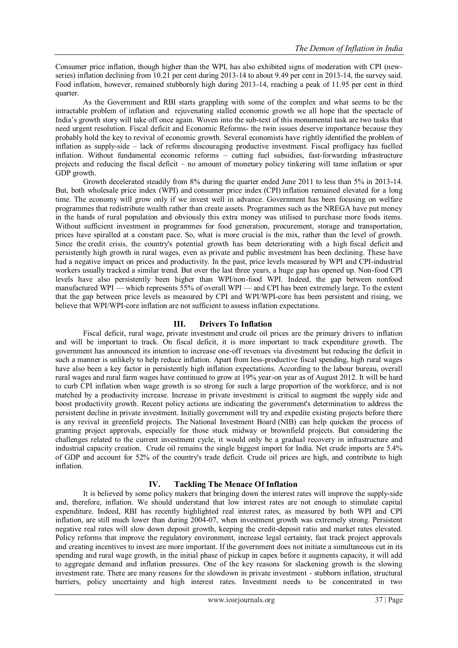Consumer price inflation, though higher than the WPI, has also exhibited signs of moderation with CPI (newseries) inflation declining from 10.21 per cent during 2013-14 to about 9.49 per cent in 2013-14, the survey said. Food inflation, however, remained stubbornly high during 2013-14, reaching a peak of 11.95 per cent in third quarter.

As the Government and RBI starts grappling with some of the complex and what seems to be the intractable problem of inflation and rejuvenating stalled economic growth we all hope that the spectacle of India's growth story will take off once again. Woven into the sub-text of this monumental task are two tasks that need urgent resolution. Fiscal deficit and Economic Reforms- the twin issues deserve importance because they probably hold the key to revival of economic growth. Several economists have rightly identified the problem of inflation as supply-side – lack of reforms discouraging productive investment. Fiscal profligacy has fuelled inflation. Without fundamental economic reforms – cutting fuel subsidies, fast-forwarding infrastructure projects and reducing the fiscal deficit – no amount of monetary policy tinkering will tame inflation or spur GDP growth.

Growth decelerated steadily from 8% during the quarter ended June 2011 to less than 5% in 2013-14. But, both wholesale price index (WPI) and [consumer](http://economictimes.indiatimes.com/topic/consumer%20price%20index) price index (CPI) [inflation](http://economictimes.indiatimes.com/topic/inflation) remained elevated for a long time. The economy will grow only if we invest well in advance. Government has been focusing on welfare programmes that redistribute wealth rather than create assets. Programmes such as the NREGA have put money in the hands of rural population and obviously this extra money was utilised to purchase more foods items. Without sufficient investment in programmes for food generation, procurement, storage and transportation, prices have spiralled at a constant pace. So, what is more crucial is the mix, rather than the level of growth. Since the credit [crisis,](http://economictimes.indiatimes.com/topic/credit%20crisis) the country's potential growth has been deteriorating with a high fiscal [deficit](http://economictimes.indiatimes.com/topic/fiscal%20deficit) and persistently high growth in rural wages, even as private and public investment has been declining. These have had a negative impact on prices and productivity. In the past, price levels measured by WPI and CPI-industrial workers usually tracked a similar trend. But over the last three years, a huge gap has opened up. Non-food CPI levels have also persistently been higher than WPI/non-food WPI. Indeed, the gap between nonfood manufactured WPI — which represents 55% of overall WPI — and CPI has been extremely large. To the extent that the gap between price levels as measured by CPI and WPI/WPI-core has been persistent and rising, we believe that WPI/WPI-core inflation are not sufficient to assess inflation expectations.

# **III. Drivers To Inflation**

Fiscal deficit, rural wage, private [investment](http://economictimes.indiatimes.com/topic/private%20investment) and crude oil [prices](http://economictimes.indiatimes.com/topic/crude%20oil%20prices) are the primary drivers to inflation and will be important to track. On fiscal deficit, it is more important to track expenditure growth. The government has announced its intention to increase one-off revenues via divestment but reducing the deficit in such a manner is unlikely to help reduce inflation. Apart from less-productive fiscal spending, high rural wages have also been a key factor in persistently high inflation expectations. According to the labour bureau, overall rural wages and rural farm wages have continued to grow at 19% year-on year as of August 2012. It will be hard to curb CPI inflation when wage growth is so strong for such a large proportion of the workforce, and is not matched by a productivity increase. Increase in private investment is critical to augment the supply side and boost productivity growth. Recent policy actions are indicating the government's determination to address the persistent decline in private investment. Initially government will try and expedite existing projects before there is any revival in greenfield projects. The National [Investment](http://economictimes.indiatimes.com/topic/National%20Investment%20Board) Board (NIB) can help quicken the process of granting project approvals, especially for those stuck midway or brownfield projects. But considering the challenges related to the current investment cycle, it would only be a gradual recovery in infrastructure and industrial capacity creation. Crude oil remains the single biggest import for India. Net crude imports are 5.4% of GDP and account for 52% of the country's trade deficit. Crude oil prices are high, and contribute to high inflation.

### **IV. Tackling The Menace Of Inflation**

It is believed by some policy makers that bringing down the interest rates will improve the supply-side and, therefore, inflation. We should understand that low interest rates are not enough to stimulate capital expenditure. Indeed, RBI has recently highlighted real interest rates, as measured by both WPI and CPI inflation, are still much lower than during 2004-07, when investment growth was extremely strong. Persistent negative real rates will slow down deposit growth, keeping the credit-deposit ratio and market rates elevated. Policy reforms that improve the regulatory environment, increase legal certainty, fast track project approvals and creating incentives to invest are more important. If the government does not initiate a simultaneous cut in its spending and rural wage growth, in the initial phase of pickup in capex before it augments capacity, it will add to aggregate demand and inflation pressures. One of the key reasons for slackening growth is the slowing investment rate. There are many reasons for the slowdown in private investment - stubborn inflation, structural barriers, policy uncertainty and high interest rates. Investment needs to be concentrated in two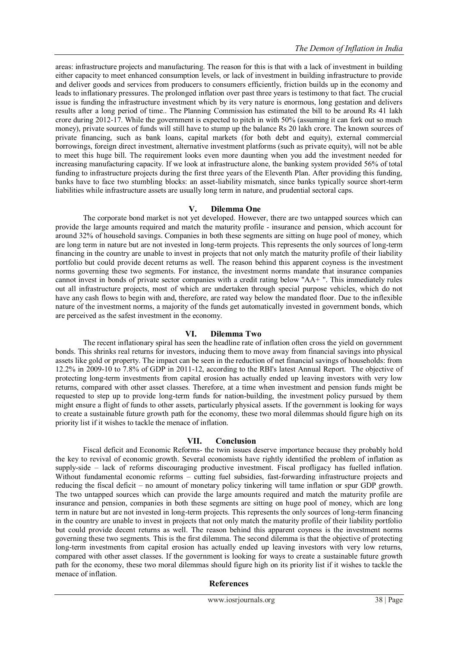areas: [infrastructure](http://economictimes.indiatimes.com/topic/infrastructure) projects and manufacturing. The reason for this is that with a lack of investment in building either capacity to meet enhanced consumption levels, or lack of investment in building infrastructure to provide and deliver goods and services from producers to consumers efficiently, friction builds up in the economy and leads to inflationary pressures. The prolonged [inflation](http://economictimes.indiatimes.com/topic/inflation) over past three years is testimony to that fact. The crucial issue is funding the infrastructure investment which by its very nature is enormous, long gestation and delivers results after a long period of time.. The Planning [Commission](http://economictimes.indiatimes.com/topic/Planning%20Commission) has estimated the bill to be around Rs 41 lakh crore during 2012-17. While the government is expected to pitch in with 50% (assuming it can fork out so much money), private sources of [funds](http://economictimes.indiatimes.com/topic/funds) will still have to stump up the balance Rs 20 lakh crore. The known sources of private financing, such as bank loans, capital markets (for both debt and equity), external commercial borrowings, foreign direct investment, alternative investment platforms (such as private equity), will not be able to meet this huge bill. The requirement looks even more daunting when you add the investment needed for increasing manufacturing capacity. If we look at infrastructure alone, the banking system provided 56% of total funding to infrastructure projects during the first three years of the Eleventh Plan. After providing this funding, banks have to face two stumbling blocks: an asset-liability mismatch, since banks typically source short-term liabilities while infrastructure assets are usually long term in nature, and prudential sectoral caps.

### **V. Dilemma One**

The corporate bond market is not yet developed. However, there are two untapped sources which can provide the large amounts required and match the maturity profile - insurance and pension, which account for around 32% of household savings. Companies in both these segments are sitting on huge pool of money, which are long term in nature but are not invested in long-term projects. This represents the only sources of long-term financing in the country are unable to invest in projects that not only match the maturity profile of their liability portfolio but could provide decent returns as well. The reason behind this apparent coyness is the investment norms governing these two segments. For instance, the investment norms mandate that insurance companies cannot invest in bonds of private sector companies with a credit rating below "AA+ ". This immediately rules out all infrastructure projects, most of which are undertaken through special purpose vehicles, which do not have any cash flows to begin with and, therefore, are rated way below the mandated floor. Due to the inflexible nature of the investment norms, a majority of the funds get automatically invested in government bonds, which are perceived as the safest investment in the economy.

# **VI. Dilemma Two**

The recent inflationary spiral has seen the headline rate of inflation often cross the yield on government bonds. This shrinks real returns for investors, inducing them to move away from financial savings into physical assets like gold or property. The impact can be seen in the reduction of net financial savings of households: from 12.2% in 2009-10 to 7.8% of GDP in 2011-12, according to the RBI's latest Annual Report. The objective of protecting long-term investments from capital erosion has actually ended up leaving investors with very low returns, compared with other asset classes. Therefore, at a time when investment and pension funds might be requested to step up to provide long-term funds for nation-building, the investment policy pursued by them might ensure a flight of funds to other assets, particularly physical assets. If the government is looking for ways to create a sustainable future growth path for the economy, these two moral dilemmas should figure high on its priority list if it wishes to tackle the menace of inflation.

### **VII. Conclusion**

Fiscal deficit and Economic Reforms- the twin issues deserve importance because they probably hold the key to revival of economic growth. Several economists have rightly identified the problem of inflation as supply-side – lack of reforms discouraging productive investment. Fiscal profligacy has fuelled inflation. Without fundamental economic reforms – cutting fuel subsidies, fast-forwarding infrastructure projects and reducing the fiscal deficit – no amount of monetary policy tinkering will tame inflation or spur GDP growth. The two untapped sources which can provide the large amounts required and match the maturity profile are insurance and pension, companies in both these segments are sitting on huge pool of money, which are long term in nature but are not invested in long-term projects. This represents the only sources of long-term financing in the country are unable to invest in projects that not only match the maturity profile of their liability portfolio but could provide decent returns as well. The reason behind this apparent coyness is the investment norms governing these two segments. This is the first dilemma. The second dilemma is that the objective of protecting long-term investments from capital erosion has actually ended up leaving investors with very low returns, compared with other asset classes. If the government is looking for ways to create a sustainable future growth path for the economy, these two moral dilemmas should figure high on its priority list if it wishes to tackle the menace of inflation.

### **References**